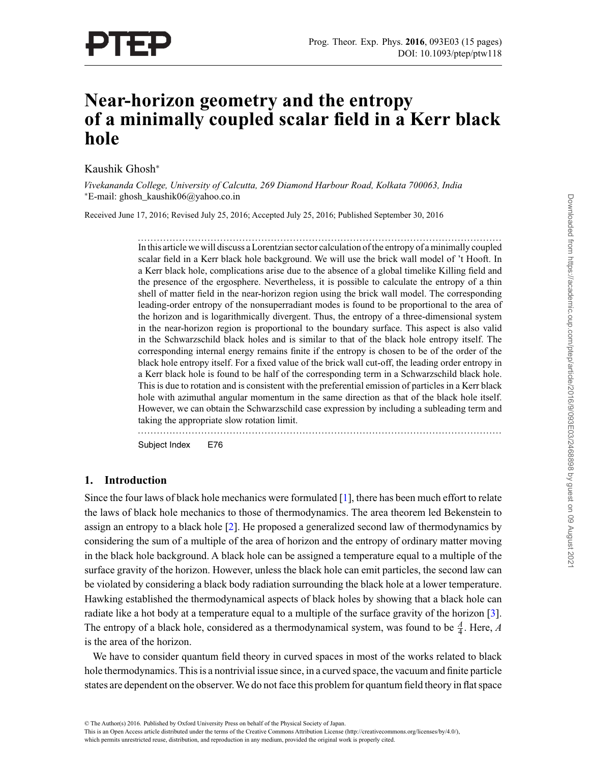# **Near-horizon geometry and the entropy of a minimally coupled scalar field in a Kerr black hole**

Kaushik Ghosh<sup>∗</sup>

*Vivekananda College, University of Calcutta, 269 Diamond Harbour Road, Kolkata 700063, India* <sup>∗</sup>E-mail: ghosh\_kaushik06@yahoo.co.in

Received June 17, 2016; Revised July 25, 2016; Accepted July 25, 2016; Published September 30, 2016

................................................................................................................... In this article we will discuss a Lorentzian sector calculation of the entropy of a minimally coupled scalar field in a Kerr black hole background. We will use the brick wall model of 't Hooft. In a Kerr black hole, complications arise due to the absence of a global timelike Killing field and the presence of the ergosphere. Nevertheless, it is possible to calculate the entropy of a thin shell of matter field in the near-horizon region using the brick wall model. The corresponding leading-order entropy of the nonsuperradiant modes is found to be proportional to the area of the horizon and is logarithmically divergent. Thus, the entropy of a three-dimensional system in the near-horizon region is proportional to the boundary surface. This aspect is also valid in the Schwarzschild black holes and is similar to that of the black hole entropy itself. The corresponding internal energy remains finite if the entropy is chosen to be of the order of the black hole entropy itself. For a fixed value of the brick wall cut-off, the leading order entropy in a Kerr black hole is found to be half of the corresponding term in a Schwarzschild black hole. This is due to rotation and is consistent with the preferential emission of particles in a Kerr black hole with azimuthal angular momentum in the same direction as that of the black hole itself. However, we can obtain the Schwarzschild case expression by including a subleading term and taking the appropriate slow rotation limit.

................................................................................................................... Subject Index E76

# **1. Introduction**

Since the four laws of black hole mechanics were formulated [1], there has been much effort to relate the laws of black hole mechanics to those of thermodynamics. The area theorem led Bekenstein to assign an entropy to a black hole [2]. He proposed a generalized second law of thermodynamics by considering the sum of a multiple of the area of horizon and the entropy of ordinary matter moving in the black hole background. A black hole can be assigned a temperature equal to a multiple of the surface gravity of the horizon. However, unless the black hole can emit particles, the second law can be violated by considering a black body radiation surrounding the black hole at a lower temperature. Hawking established the thermodynamical aspects of black holes by showing that a black hole can radiate like a hot body at a temperature equal to a multiple of the surface gravity of the horizon [3]. The entropy of a black hole, considered as a thermodynamical system, was found to be  $\frac{A}{4}$ . Here, A is the area of the horizon.

We have to consider quantum field theory in curved spaces in most of the works related to black hole thermodynamics. This is a nontrivial issue since, in a curved space, the vacuum and finite particle states are dependent on the observer. We do not face this problem for quantum field theory in flat space

This is an Open Access article distributed under the terms of the Creative Commons Attribution License (http://creativecommons.org/licenses/by/4.0/), which permits unrestricted reuse, distribution, and reproduction in any medium, provided the original work is properly cited.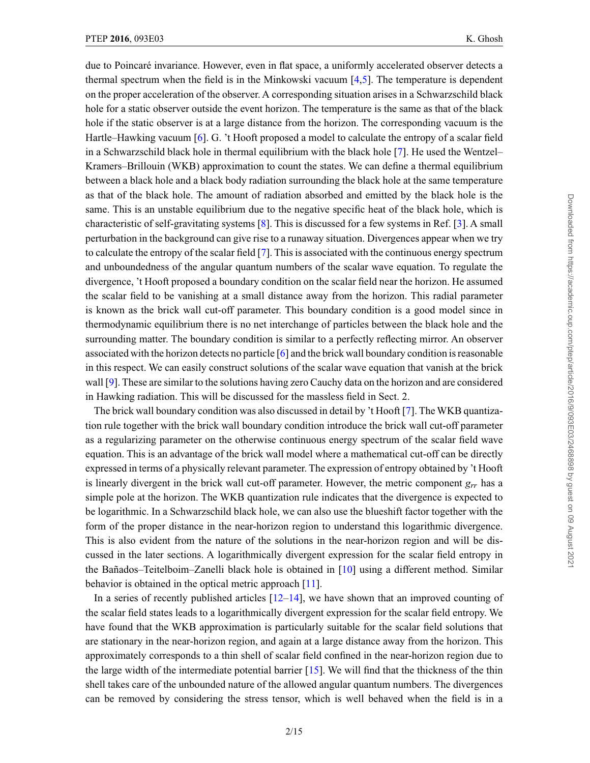due to Poincaré invariance. However, even in flat space, a uniformly accelerated observer detects a thermal spectrum when the field is in the Minkowski vacuum  $[4,5]$ . The temperature is dependent on the proper acceleration of the observer. A corresponding situation arises in a Schwarzschild black hole for a static observer outside the event horizon. The temperature is the same as that of the black hole if the static observer is at a large distance from the horizon. The corresponding vacuum is the Hartle–Hawking vacuum [6]. G. 't Hooft proposed a model to calculate the entropy of a scalar field in a Schwarzschild black hole in thermal equilibrium with the black hole [7]. He used the Wentzel– Kramers–Brillouin (WKB) approximation to count the states. We can define a thermal equilibrium between a black hole and a black body radiation surrounding the black hole at the same temperature as that of the black hole. The amount of radiation absorbed and emitted by the black hole is the same. This is an unstable equilibrium due to the negative specific heat of the black hole, which is characteristic of self-gravitating systems [8]. This is discussed for a few systems in Ref. [3]. A small perturbation in the background can give rise to a runaway situation. Divergences appear when we try to calculate the entropy of the scalar field [7]. This is associated with the continuous energy spectrum and unboundedness of the angular quantum numbers of the scalar wave equation. To regulate the divergence, 't Hooft proposed a boundary condition on the scalar field near the horizon. He assumed the scalar field to be vanishing at a small distance away from the horizon. This radial parameter is known as the brick wall cut-off parameter. This boundary condition is a good model since in thermodynamic equilibrium there is no net interchange of particles between the black hole and the surrounding matter. The boundary condition is similar to a perfectly reflecting mirror. An observer associated with the horizon detects no particle [6] and the brick wall boundary condition is reasonable in this respect. We can easily construct solutions of the scalar wave equation that vanish at the brick wall [9]. These are similar to the solutions having zero Cauchy data on the horizon and are considered in Hawking radiation. This will be discussed for the massless field in Sect. 2.

The brick wall boundary condition was also discussed in detail by 't Hooft [7]. The WKB quantization rule together with the brick wall boundary condition introduce the brick wall cut-off parameter as a regularizing parameter on the otherwise continuous energy spectrum of the scalar field wave equation. This is an advantage of the brick wall model where a mathematical cut-off can be directly expressed in terms of a physically relevant parameter. The expression of entropy obtained by 't Hooft is linearly divergent in the brick wall cut-off parameter. However, the metric component *grr* has a simple pole at the horizon. The WKB quantization rule indicates that the divergence is expected to be logarithmic. In a Schwarzschild black hole, we can also use the blueshift factor together with the form of the proper distance in the near-horizon region to understand this logarithmic divergence. This is also evident from the nature of the solutions in the near-horizon region and will be discussed in the later sections. A logarithmically divergent expression for the scalar field entropy in the Bañados–Teitelboim–Zanelli black hole is obtained in [10] using a different method. Similar behavior is obtained in the optical metric approach [11].

In a series of recently published articles  $[12-14]$ , we have shown that an improved counting of the scalar field states leads to a logarithmically divergent expression for the scalar field entropy. We have found that the WKB approximation is particularly suitable for the scalar field solutions that are stationary in the near-horizon region, and again at a large distance away from the horizon. This approximately corresponds to a thin shell of scalar field confined in the near-horizon region due to the large width of the intermediate potential barrier [15]. We will find that the thickness of the thin shell takes care of the unbounded nature of the allowed angular quantum numbers. The divergences can be removed by considering the stress tensor, which is well behaved when the field is in a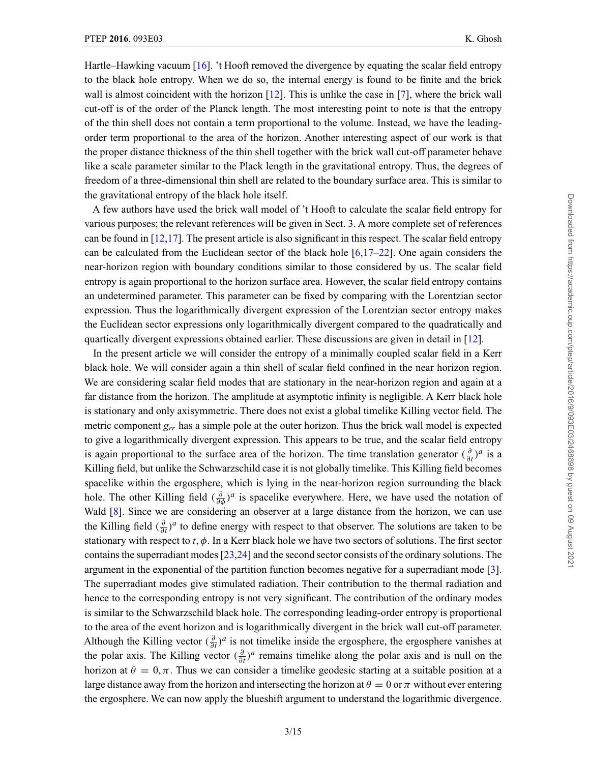Hartle–Hawking vacuum [16]. 't Hooft removed the divergence by equating the scalar field entropy to the black hole entropy. When we do so, the internal energy is found to be finite and the brick wall is almost coincident with the horizon [12]. This is unlike the case in [7], where the brick wall cut-off is of the order of the Planck length. The most interesting point to note is that the entropy of the thin shell does not contain a term proportional to the volume. Instead, we have the leadingorder term proportional to the area of the horizon. Another interesting aspect of our work is that the proper distance thickness of the thin shell together with the brick wall cut-off parameter behave like a scale parameter similar to the Plack length in the gravitational entropy. Thus, the degrees of freedom of a three-dimensional thin shell are related to the boundary surface area. This is similar to the gravitational entropy of the black hole itself.

A few authors have used the brick wall model of 't Hooft to calculate the scalar field entropy for various purposes; the relevant references will be given in Sect. 3. A more complete set of references can be found in  $[12,17]$ . The present article is also significant in this respect. The scalar field entropy can be calculated from the Euclidean sector of the black hole  $[6,17-22]$ . One again considers the near-horizon region with boundary conditions similar to those considered by us. The scalar field entropy is again proportional to the horizon surface area. However, the scalar field entropy contains an undetermined parameter. This parameter can be fixed by comparing with the Lorentzian sector expression. Thus the logarithmically divergent expression of the Lorentzian sector entropy makes the Euclidean sector expressions only logarithmically divergent compared to the quadratically and quartically divergent expressions obtained earlier. These discussions are given in detail in [12].

In the present article we will consider the entropy of a minimally coupled scalar field in a Kerr black hole. We will consider again a thin shell of scalar field confined in the near horizon region. We are considering scalar field modes that are stationary in the near-horizon region and again at a far distance from the horizon. The amplitude at asymptotic infinity is negligible. A Kerr black hole is stationary and only axisymmetric. There does not exist a global timelike Killing vector field. The metric component *grr* has a simple pole at the outer horizon. Thus the brick wall model is expected to give a logarithmically divergent expression. This appears to be true, and the scalar field entropy is again proportional to the surface area of the horizon. The time translation generator  $(\frac{\partial}{\partial \theta})$  $\frac{\partial}{\partial t}$ <sup>a</sup> is a Killing field, but unlike the Schwarzschild case it is not globally timelike. This Killing field becomes spacelike within the ergosphere, which is lying in the near-horizon region surrounding the black hole. The other Killing field  $(\frac{\partial}{\partial \phi})^a$  is spacelike everywhere. Here, we have used the notation of Wald [8]. Since we are considering an observer at a large distance from the horizon, we can use the Killing field  $(\frac{\partial}{\partial \theta})$  $\frac{\partial}{\partial t}$ <sup>a</sup> to define energy with respect to that observer. The solutions are taken to be stationary with respect to  $t$ ,  $\phi$ . In a Kerr black hole we have two sectors of solutions. The first sector contains the superradiant modes [23,24] and the second sector consists of the ordinary solutions. The argument in the exponential of the partition function becomes negative for a superradiant mode [3]. The superradiant modes give stimulated radiation. Their contribution to the thermal radiation and hence to the corresponding entropy is not very significant. The contribution of the ordinary modes is similar to the Schwarzschild black hole. The corresponding leading-order entropy is proportional to the area of the event horizon and is logarithmically divergent in the brick wall cut-off parameter. Although the Killing vector  $\left(\frac{\partial}{\partial x}\right)$  $\frac{\partial}{\partial t}$ <sup>a</sup> is not timelike inside the ergosphere, the ergosphere vanishes at the polar axis. The Killing vector  $(\frac{\partial}{\partial \theta})$  $\frac{\partial}{\partial t}$ <sup>2</sup> remains timelike along the polar axis and is null on the horizon at  $\theta = 0, \pi$ . Thus we can consider a timelike geodesic starting at a suitable position at a large distance away from the horizon and intersecting the horizon at  $\theta = 0$  or  $\pi$  without ever entering the ergosphere. We can now apply the blueshift argument to understand the logarithmic divergence.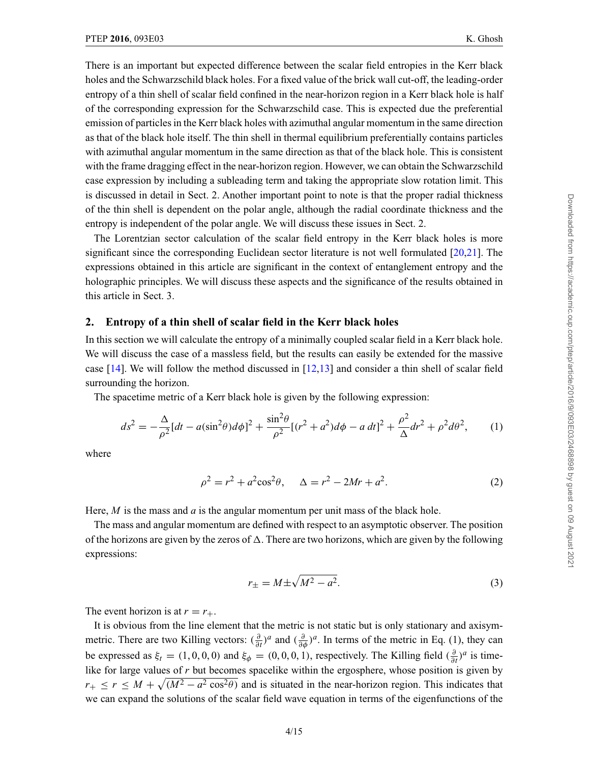There is an important but expected difference between the scalar field entropies in the Kerr black holes and the Schwarzschild black holes. For a fixed value of the brick wall cut-off, the leading-order entropy of a thin shell of scalar field confined in the near-horizon region in a Kerr black hole is half of the corresponding expression for the Schwarzschild case. This is expected due the preferential emission of particles in the Kerr black holes with azimuthal angular momentum in the same direction as that of the black hole itself. The thin shell in thermal equilibrium preferentially contains particles with azimuthal angular momentum in the same direction as that of the black hole. This is consistent with the frame dragging effect in the near-horizon region. However, we can obtain the Schwarzschild case expression by including a subleading term and taking the appropriate slow rotation limit. This is discussed in detail in Sect. 2. Another important point to note is that the proper radial thickness of the thin shell is dependent on the polar angle, although the radial coordinate thickness and the entropy is independent of the polar angle. We will discuss these issues in Sect. 2.

The Lorentzian sector calculation of the scalar field entropy in the Kerr black holes is more significant since the corresponding Euclidean sector literature is not well formulated [20,21]. The expressions obtained in this article are significant in the context of entanglement entropy and the holographic principles. We will discuss these aspects and the significance of the results obtained in this article in Sect. 3.

#### **2. Entropy of a thin shell of scalar field in the Kerr black holes**

In this section we will calculate the entropy of a minimally coupled scalar field in a Kerr black hole. We will discuss the case of a massless field, but the results can easily be extended for the massive case [14]. We will follow the method discussed in [12,13] and consider a thin shell of scalar field surrounding the horizon.

The spacetime metric of a Kerr black hole is given by the following expression:

$$
ds^{2} = -\frac{\Delta}{\rho^{2}}[dt - a(\sin^{2}\theta)d\phi]^{2} + \frac{\sin^{2}\theta}{\rho^{2}}[(r^{2} + a^{2})d\phi - a dt]^{2} + \frac{\rho^{2}}{\Delta}dr^{2} + \rho^{2}d\theta^{2},
$$
 (1)

where

$$
\rho^2 = r^2 + a^2 \cos^2 \theta, \quad \Delta = r^2 - 2Mr + a^2. \tag{2}
$$

Here, *M* is the mass and *a* is the angular momentum per unit mass of the black hole.

The mass and angular momentum are defined with respect to an asymptotic observer. The position of the horizons are given by the zeros of  $\Delta$ . There are two horizons, which are given by the following expressions:

$$
r_{\pm} = M \pm \sqrt{M^2 - a^2}.\tag{3}
$$

The event horizon is at  $r = r_+$ .

It is obvious from the line element that the metric is not static but is only stationary and axisymmetric. There are two Killing vectors:  $\left(\frac{\partial}{\partial \theta}\right)^2$  $\frac{\partial}{\partial t}$ <sup>2</sup> and  $(\frac{\partial}{\partial \phi})^a$ . In terms of the metric in Eq. (1), they can be expressed as  $\xi_t = (1, 0, 0, 0)$  and  $\xi_{\phi} = (0, 0, 0, 1)$ , respectively. The Killing field  $(\frac{\partial}{\partial \phi})$  $\frac{\partial}{\partial t}$ <sup>a</sup> is timelike for large values of *r* but becomes spacelike within the ergosphere, whose position is given by  $r_+ \le r \le M + \sqrt{(M^2 - a^2 \cos^2 \theta)}$  and is situated in the near-horizon region. This indicates that we can expand the solutions of the scalar field wave equation in terms of the eigenfunctions of the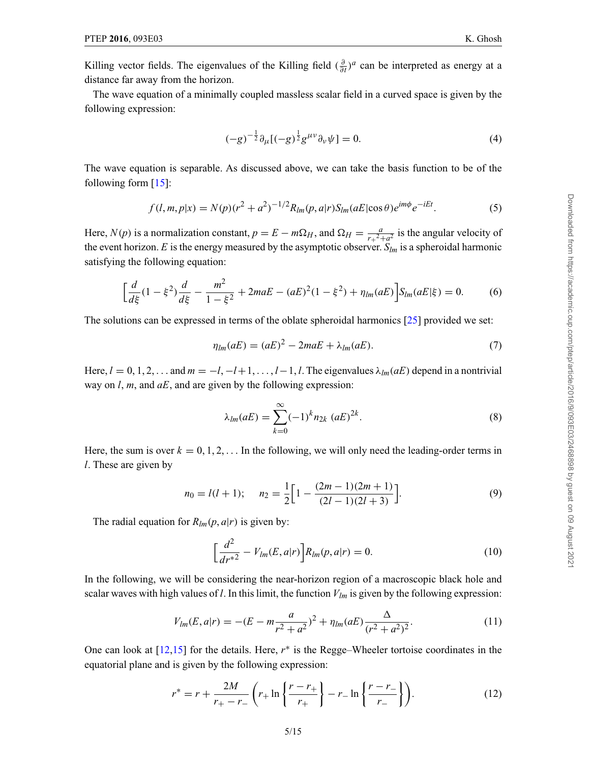Killing vector fields. The eigenvalues of the Killing field  $(\frac{\partial}{\partial \theta})$  $\frac{\partial}{\partial t}$ <sup>a</sup> can be interpreted as energy at a distance far away from the horizon.

The wave equation of a minimally coupled massless scalar field in a curved space is given by the following expression:

$$
(-g)^{-\frac{1}{2}}\partial_{\mu} [(-g)^{\frac{1}{2}}g^{\mu\nu}\partial_{\nu}\psi] = 0.
$$
 (4)

The wave equation is separable. As discussed above, we can take the basis function to be of the following form [15]:

$$
f(l,m,p|x) = N(p)(r^2 + a^2)^{-1/2} R_{lm}(p,a|r) S_{lm}(aE|\cos\theta) e^{im\phi} e^{-iEt}.
$$
 (5)

Here, *N*(*p*) is a normalization constant,  $p = E - m\Omega_H$ , and  $\Omega_H = \frac{a}{r_+^2}$ .  $\frac{a}{r^2+a^2}$  is the angular velocity of the event horizon. *E* is the energy measured by the asymptotic observer. *Slm* is a spheroidal harmonic satisfying the following equation:

$$
\left[\frac{d}{d\xi}(1-\xi^2)\frac{d}{d\xi} - \frac{m^2}{1-\xi^2} + 2maE - (aE)^2(1-\xi^2) + \eta_{lm}(aE)\right]S_{lm}(aE|\xi) = 0.
$$
 (6)

The solutions can be expressed in terms of the oblate spheroidal harmonics [25] provided we set:

$$
\eta_{lm}(aE) = (aE)^2 - 2maE + \lambda_{lm}(aE). \tag{7}
$$

Here,  $l = 0, 1, 2, \ldots$  and  $m = -l, -l+1, \ldots, l-1, l$ . The eigenvalues  $\lambda_{lm}(aE)$  depend in a nontrivial way on *l*, *m*, and *aE*, and are given by the following expression:

$$
\lambda_{lm}(aE) = \sum_{k=0}^{\infty} (-1)^k n_{2k} (aE)^{2k}.
$$
 (8)

Here, the sum is over  $k = 0, 1, 2, \ldots$  In the following, we will only need the leading-order terms in *l*. These are given by

$$
n_0 = l(l+1); \quad n_2 = \frac{1}{2} \Big[ 1 - \frac{(2m-1)(2m+1)}{(2l-1)(2l+3)} \Big]. \tag{9}
$$

The radial equation for  $R_{lm}(p, a|r)$  is given by:

$$
\left[\frac{d^2}{dr^{*2}} - V_{lm}(E, a|r)\right] R_{lm}(p, a|r) = 0.
$$
 (10)

In the following, we will be considering the near-horizon region of a macroscopic black hole and scalar waves with high values of *l*. In this limit, the function  $V_{lm}$  is given by the following expression:

$$
V_{lm}(E, a|r) = -(E - m\frac{a}{r^2 + a^2})^2 + \eta_{lm}(aE)\frac{\Delta}{(r^2 + a^2)^2}.
$$
 (11)

One can look at [12,15] for the details. Here, *r* ∗ is the Regge–Wheeler tortoise coordinates in the equatorial plane and is given by the following expression:

$$
r^* = r + \frac{2M}{r_+ - r_-} \left( r_+ \ln \left\{ \frac{r - r_+}{r_+} \right\} - r_- \ln \left\{ \frac{r - r_-}{r_-} \right\} \right).
$$
 (12)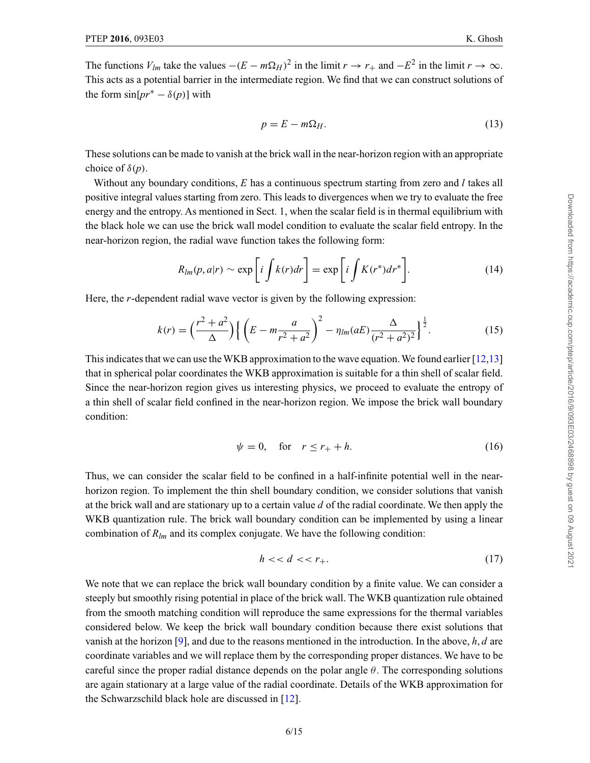The functions  $V_{lm}$  take the values  $-(E - m\Omega_H)^2$  in the limit  $r \to r_+$  and  $-E^2$  in the limit  $r \to \infty$ . This acts as a potential barrier in the intermediate region. We find that we can construct solutions of the form  $sin[pr^* - \delta(p)]$  with

$$
p = E - m\Omega_H. \tag{13}
$$

These solutions can be made to vanish at the brick wall in the near-horizon region with an appropriate choice of  $\delta(p)$ .

Without any boundary conditions, *E* has a continuous spectrum starting from zero and *l* takes all positive integral values starting from zero. This leads to divergences when we try to evaluate the free energy and the entropy. As mentioned in Sect. 1, when the scalar field is in thermal equilibrium with the black hole we can use the brick wall model condition to evaluate the scalar field entropy. In the near-horizon region, the radial wave function takes the following form:

$$
R_{lm}(p,a|r) \sim \exp\left[i\int k(r)dr\right] = \exp\left[i\int K(r^*)dr^*\right].
$$
 (14)

Here, the *r*-dependent radial wave vector is given by the following expression:

$$
k(r) = \left(\frac{r^2 + a^2}{\Delta}\right) \left\{ \left(E - m \frac{a}{r^2 + a^2}\right)^2 - \eta_{lm}(aE) \frac{\Delta}{(r^2 + a^2)^2} \right\}^{\frac{1}{2}}.
$$
 (15)

This indicates that we can use the WKB approximation to the wave equation. We found earlier [12,13] that in spherical polar coordinates the WKB approximation is suitable for a thin shell of scalar field. Since the near-horizon region gives us interesting physics, we proceed to evaluate the entropy of a thin shell of scalar field confined in the near-horizon region. We impose the brick wall boundary condition:

$$
\psi = 0, \quad \text{for} \quad r \le r_+ + h. \tag{16}
$$

Thus, we can consider the scalar field to be confined in a half-infinite potential well in the nearhorizon region. To implement the thin shell boundary condition, we consider solutions that vanish at the brick wall and are stationary up to a certain value *d* of the radial coordinate. We then apply the WKB quantization rule. The brick wall boundary condition can be implemented by using a linear combination of  $R_{lm}$  and its complex conjugate. We have the following condition:

$$
h \ll d \ll r_+.\tag{17}
$$

We note that we can replace the brick wall boundary condition by a finite value. We can consider a steeply but smoothly rising potential in place of the brick wall. The WKB quantization rule obtained from the smooth matching condition will reproduce the same expressions for the thermal variables considered below. We keep the brick wall boundary condition because there exist solutions that vanish at the horizon [9], and due to the reasons mentioned in the introduction. In the above, *h*, *d* are coordinate variables and we will replace them by the corresponding proper distances. We have to be careful since the proper radial distance depends on the polar angle  $\theta$ . The corresponding solutions are again stationary at a large value of the radial coordinate. Details of the WKB approximation for the Schwarzschild black hole are discussed in [12].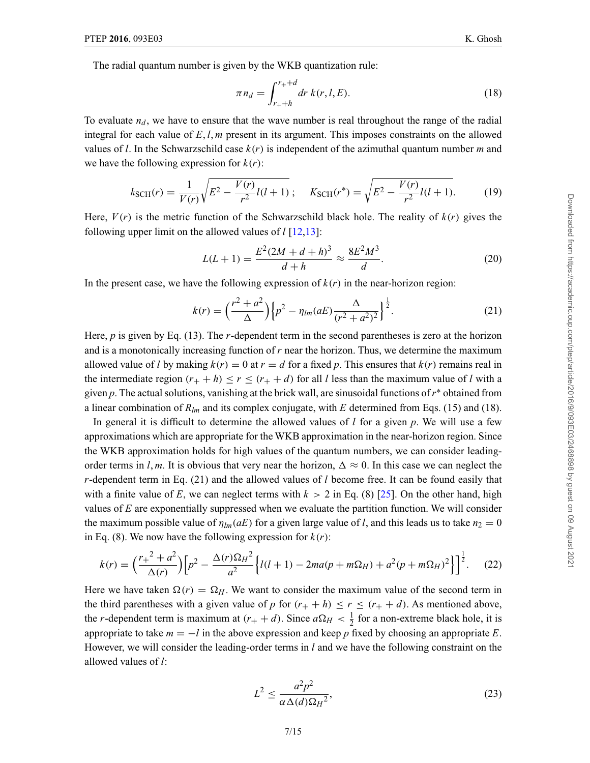$$
\pi n_d = \int_{r_+ + h}^{r_+ + d} dr \, k(r, l, E). \tag{18}
$$

To evaluate  $n_d$ , we have to ensure that the wave number is real throughout the range of the radial integral for each value of *E*, *l*, *m* present in its argument. This imposes constraints on the allowed values of *l*. In the Schwarzschild case *k*(*r*) is independent of the azimuthal quantum number *m* and we have the following expression for  $k(r)$ :

$$
k_{\text{SCH}}(r) = \frac{1}{V(r)} \sqrt{E^2 - \frac{V(r)}{r^2} l(l+1)} \, ; \quad K_{\text{SCH}}(r^*) = \sqrt{E^2 - \frac{V(r)}{r^2} l(l+1)} . \tag{19}
$$

Here,  $V(r)$  is the metric function of the Schwarzschild black hole. The reality of  $k(r)$  gives the following upper limit on the allowed values of *l* [12,13]:

$$
L(L+1) = \frac{E^2(2M+d+h)^3}{d+h} \approx \frac{8E^2M^3}{d}.
$$
 (20)

In the present case, we have the following expression of  $k(r)$  in the near-horizon region:

$$
k(r) = \left(\frac{r^2 + a^2}{\Delta}\right) \left\{p^2 - \eta_{lm}(aE)\frac{\Delta}{(r^2 + a^2)^2}\right\}^{\frac{1}{2}}.
$$
 (21)

Here, *p* is given by Eq. (13). The *r*-dependent term in the second parentheses is zero at the horizon and is a monotonically increasing function of *r* near the horizon. Thus, we determine the maximum allowed value of *l* by making  $k(r) = 0$  at  $r = d$  for a fixed p. This ensures that  $k(r)$  remains real in the intermediate region  $(r_{+} + h) \le r \le (r_{+} + d)$  for all *l* less than the maximum value of *l* with a given *p*. The actual solutions, vanishing at the brick wall, are sinusoidal functions of*r* ∗ obtained from a linear combination of *Rlm* and its complex conjugate, with *E* determined from Eqs. (15) and (18).

In general it is difficult to determine the allowed values of  $l$  for a given  $p$ . We will use a few approximations which are appropriate for the WKB approximation in the near-horizon region. Since the WKB approximation holds for high values of the quantum numbers, we can consider leadingorder terms in *l*, *m*. It is obvious that very near the horizon,  $\Delta \approx 0$ . In this case we can neglect the *r*-dependent term in Eq. (21) and the allowed values of *l* become free. It can be found easily that with a finite value of *E*, we can neglect terms with  $k > 2$  in Eq. (8) [25]. On the other hand, high values of *E* are exponentially suppressed when we evaluate the partition function. We will consider the maximum possible value of  $\eta_{lm}(aE)$  for a given large value of *l*, and this leads us to take  $n_2 = 0$ in Eq. (8). We now have the following expression for  $k(r)$ :

$$
k(r) = \left(\frac{r_+^2 + a^2}{\Delta(r)}\right) \left[p^2 - \frac{\Delta(r)\Omega_H^2}{a^2} \left\{l(l+1) - 2ma(p + m\Omega_H) + a^2(p + m\Omega_H)^2\right\}\right]^{\frac{1}{2}}.
$$
 (22)

Here we have taken  $\Omega(r) = \Omega_H$ . We want to consider the maximum value of the second term in the third parentheses with a given value of *p* for  $(r_{+} + h) \le r \le (r_{+} + d)$ . As mentioned above, the *r*-dependent term is maximum at  $(r_{+} + d)$ . Since  $a\Omega_H < \frac{1}{2}$  $\frac{1}{2}$  for a non-extreme black hole, it is appropriate to take  $m = -l$  in the above expression and keep p fixed by choosing an appropriate E. However, we will consider the leading-order terms in *l* and we have the following constraint on the allowed values of *l*:

$$
L^2 \le \frac{a^2 p^2}{\alpha \Delta(d) \Omega_H^2},\tag{23}
$$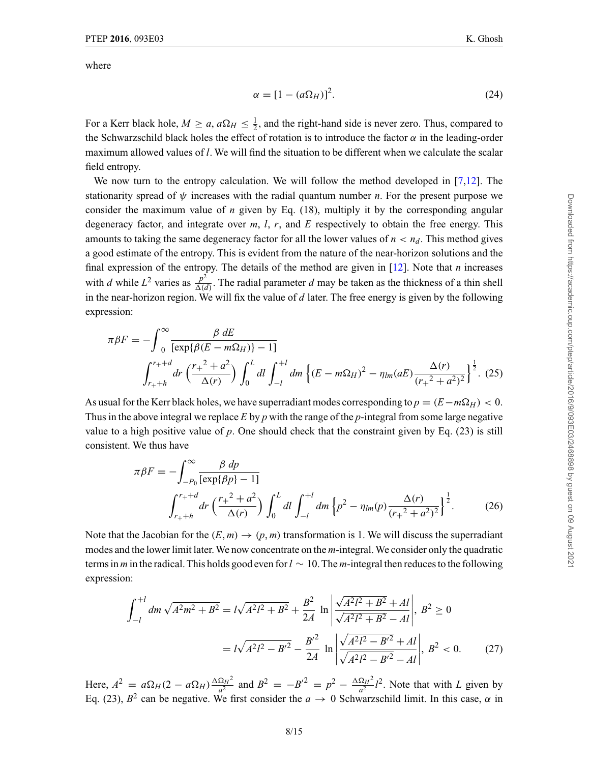where

$$
\alpha = [1 - (a\Omega_H)]^2. \tag{24}
$$

For a Kerr black hole,  $M \ge a$ ,  $a\Omega_H \le \frac{1}{2}$  $\frac{1}{2}$ , and the right-hand side is never zero. Thus, compared to the Schwarzschild black holes the effect of rotation is to introduce the factor  $\alpha$  in the leading-order maximum allowed values of *l*. We will find the situation to be different when we calculate the scalar field entropy.

We now turn to the entropy calculation. We will follow the method developed in [7,12]. The stationarity spread of  $\psi$  increases with the radial quantum number *n*. For the present purpose we consider the maximum value of *n* given by Eq. (18), multiply it by the corresponding angular degeneracy factor, and integrate over *m*, *l*, *r*, and *E* respectively to obtain the free energy. This amounts to taking the same degeneracy factor for all the lower values of  $n < n_d$ . This method gives a good estimate of the entropy. This is evident from the nature of the near-horizon solutions and the final expression of the entropy. The details of the method are given in [12]. Note that *n* increases with *d* while  $L^2$  varies as  $\frac{p^2}{\Delta G}$  $\frac{p}{\Delta(d)}$ . The radial parameter *d* may be taken as the thickness of a thin shell in the near-horizon region. We will fix the value of *d* later. The free energy is given by the following expression:

$$
\pi \beta F = -\int_0^\infty \frac{\beta \, dE}{\left[\exp\{\beta (E - m\Omega_H)\} - 1\right]} \int_{r_+ + h}^{r_+ + d} dr \left(\frac{r_+^2 + a^2}{\Delta(r)}\right) \int_0^L dl \int_{-l}^{+l} dm \left\{ (E - m\Omega_H)^2 - \eta_{lm}(aE) \frac{\Delta(r)}{(r_+^2 + a^2)^2} \right\}^{\frac{1}{2}}. (25)
$$

As usual for the Kerr black holes, we have superradiant modes corresponding to  $p = (E - m\Omega_H) < 0$ . Thus in the above integral we replace *E* by *p* with the range of the *p*-integral from some large negative value to a high positive value of *p*. One should check that the constraint given by Eq. (23) is still consistent. We thus have

$$
\pi \beta F = -\int_{-P_0}^{\infty} \frac{\beta \, dp}{\left[\exp\{\beta p\} - 1\right]}
$$

$$
\int_{r_+ + h}^{r_+ + d} dr \left(\frac{r_+^2 + a^2}{\Delta(r)}\right) \int_0^L dl \int_{-l}^{+l} dm \left\{p^2 - \eta_{lm}(p) \frac{\Delta(r)}{(r_+^2 + a^2)^2}\right\}^{\frac{1}{2}}.
$$
(26)

Note that the Jacobian for the  $(E, m) \rightarrow (p, m)$  transformation is 1. We will discuss the superradiant modes and the lower limit later. We now concentrate on the *m*-integral. We consider only the quadratic terms in *m* in the radical. This holds good even for*l* ∼ 10. The *m*-integral then reduces to the following expression:

$$
\int_{-l}^{+l} dm \sqrt{A^2 m^2 + B^2} = l \sqrt{A^2 l^2 + B^2} + \frac{B^2}{2A} \ln \left| \frac{\sqrt{A^2 l^2 + B^2} + Al}{\sqrt{A^2 l^2 + B^2} - Al} \right|, B^2 \ge 0
$$

$$
= l \sqrt{A^2 l^2 - B'^2} - \frac{B'^2}{2A} \ln \left| \frac{\sqrt{A^2 l^2 - B'^2} + Al}{\sqrt{A^2 l^2 - B'^2} - Al} \right|, B^2 < 0. \tag{27}
$$

Here,  $A^2 = a\Omega_H(2 - a\Omega_H)\frac{\Delta\Omega_H^2}{a^2}$  $\frac{\Omega_H^2}{a^2}$  and  $B^2 = -B'^2 = p^2 - \frac{\Delta \Omega_H^2}{a^2}$  $\frac{\Omega_H^2}{a^2}$  $l^2$ . Note that with *L* given by Eq. (23),  $B^2$  can be negative. We first consider the  $a \to 0$  Schwarzschild limit. In this case,  $\alpha$  in

8/15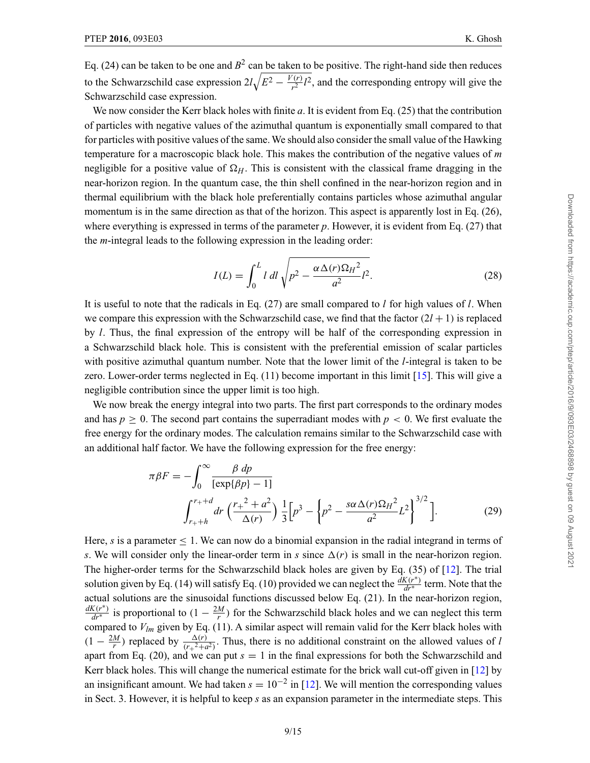Eq. (24) can be taken to be one and  $B^2$  can be taken to be positive. The right-hand side then reduces to the Schwarzschild case expression  $2l\sqrt{E^2 - \frac{V(r)}{r^2}}$  $\frac{f(r)}{r^2}l^2$ , and the corresponding entropy will give the Schwarzschild case expression.

We now consider the Kerr black holes with finite *a*. It is evident from Eq. (25) that the contribution of particles with negative values of the azimuthal quantum is exponentially small compared to that for particles with positive values of the same. We should also consider the small value of the Hawking temperature for a macroscopic black hole. This makes the contribution of the negative values of *m* negligible for a positive value of  $\Omega_H$ . This is consistent with the classical frame dragging in the near-horizon region. In the quantum case, the thin shell confined in the near-horizon region and in thermal equilibrium with the black hole preferentially contains particles whose azimuthal angular momentum is in the same direction as that of the horizon. This aspect is apparently lost in Eq. (26), where everything is expressed in terms of the parameter *p*. However, it is evident from Eq. (27) that the *m*-integral leads to the following expression in the leading order:

$$
I(L) = \int_0^L l \, dl \sqrt{p^2 - \frac{\alpha \Delta(r) \Omega_H^2}{a^2} l^2}.
$$
 (28)

It is useful to note that the radicals in Eq. (27) are small compared to *l* for high values of *l*. When we compare this expression with the Schwarzschild case, we find that the factor  $(2l + 1)$  is replaced by *l*. Thus, the final expression of the entropy will be half of the corresponding expression in a Schwarzschild black hole. This is consistent with the preferential emission of scalar particles with positive azimuthal quantum number. Note that the lower limit of the *l*-integral is taken to be zero. Lower-order terms neglected in Eq. (11) become important in this limit [15]. This will give a negligible contribution since the upper limit is too high.

We now break the energy integral into two parts. The first part corresponds to the ordinary modes and has  $p \ge 0$ . The second part contains the superradiant modes with  $p < 0$ . We first evaluate the free energy for the ordinary modes. The calculation remains similar to the Schwarzschild case with an additional half factor. We have the following expression for the free energy:

$$
\pi \beta F = -\int_0^\infty \frac{\beta \, dp}{\left[\exp\{\beta p\} - 1\right]}
$$

$$
\int_{r_+ + h}^{r_+ + d} dr \left(\frac{r_+^2 + a^2}{\Delta(r)}\right) \frac{1}{3} \left[p^3 - \left\{p^2 - \frac{s\alpha \Delta(r)\Omega_H^2}{a^2} L^2\right\}^{3/2}\right].
$$
(29)

Here, *s* is a parameter  $\leq 1$ . We can now do a binomial expansion in the radial integrand in terms of *s*. We will consider only the linear-order term in *s* since  $\Delta(r)$  is small in the near-horizon region. The higher-order terms for the Schwarzschild black holes are given by Eq. (35) of [12]. The trial solution given by Eq. (14) will satisfy Eq. (10) provided we can neglect the  $\frac{dK(r^*)}{dr^*}$  term. Note that the actual solutions are the sinusoidal functions discussed below Eq. (21). In the near-horizon region,  $\frac{dK(r^*)}{dr^*}$  is proportional to  $(1 - \frac{2M}{r})$  $\frac{M}{r}$ ) for the Schwarzschild black holes and we can neglect this term compared to *Vlm* given by Eq. (11). A similar aspect will remain valid for the Kerr black holes with  $(1 - \frac{2M}{r})$  $\frac{M}{r}$ ) replaced by  $\frac{\Delta(r)}{(r+1+a^2)}$ . Thus, there is no additional constraint on the allowed values of *l* apart from Eq. (20), and we can put  $s = 1$  in the final expressions for both the Schwarzschild and Kerr black holes. This will change the numerical estimate for the brick wall cut-off given in [12] by an insignificant amount. We had taken  $s = 10^{-2}$  in [12]. We will mention the corresponding values in Sect. 3. However, it is helpful to keep *s* as an expansion parameter in the intermediate steps. This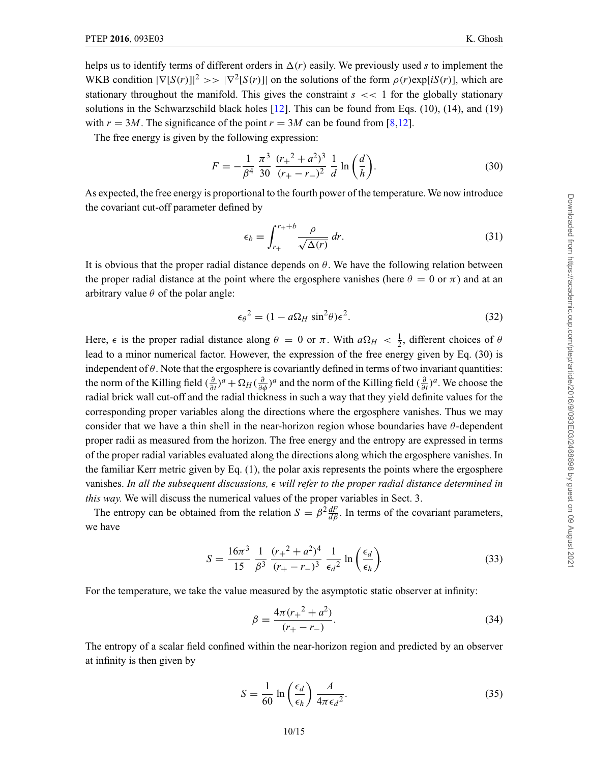helps us to identify terms of different orders in  $\Delta(r)$  easily. We previously used *s* to implement the WKB condition  $|\nabla [S(r)]|^2 \gg |\nabla^2 [S(r)]|$  on the solutions of the form  $\rho(r) \exp[iS(r)]$ , which are stationary throughout the manifold. This gives the constraint  $s \ll 1$  for the globally stationary solutions in the Schwarzschild black holes [12]. This can be found from Eqs. (10), (14), and (19) with  $r = 3M$ . The significance of the point  $r = 3M$  can be found from [8,12].

The free energy is given by the following expression:

$$
F = -\frac{1}{\beta^4} \frac{\pi^3}{30} \frac{(r_+^2 + a^2)^3}{(r_+ - r_-)^2} \frac{1}{d} \ln\left(\frac{d}{h}\right).
$$
 (30)

As expected, the free energy is proportional to the fourth power of the temperature. We now introduce the covariant cut-off parameter defined by

$$
\epsilon_b = \int_{r_+}^{r_+ + b} \frac{\rho}{\sqrt{\Delta(r)}} dr.
$$
\n(31)

It is obvious that the proper radial distance depends on  $\theta$ . We have the following relation between the proper radial distance at the point where the ergosphere vanishes (here  $\theta = 0$  or  $\pi$ ) and at an arbitrary value  $\theta$  of the polar angle:

$$
\epsilon_{\theta}^2 = (1 - a\Omega_H \sin^2 \theta) \epsilon^2. \tag{32}
$$

Here,  $\epsilon$  is the proper radial distance along  $\theta = 0$  or  $\pi$ . With  $a\Omega_H < \frac{1}{2}$  $\frac{1}{2}$ , different choices of  $\theta$ lead to a minor numerical factor. However, the expression of the free energy given by Eq. (30) is independent of  $\theta$ . Note that the ergosphere is covariantly defined in terms of two invariant quantities: the norm of the Killing field  $(\frac{\partial}{\partial \theta})$  $\frac{\partial}{\partial t}$ )<sup>*a*</sup> +  $\Omega_H(\frac{\partial}{\partial \phi})^a$  and the norm of the Killing field ( $\frac{\partial}{\partial t}$ )  $\frac{\partial}{\partial t}$ <sup>2</sup>. We choose the radial brick wall cut-off and the radial thickness in such a way that they yield definite values for the corresponding proper variables along the directions where the ergosphere vanishes. Thus we may consider that we have a thin shell in the near-horizon region whose boundaries have  $\theta$ -dependent proper radii as measured from the horizon. The free energy and the entropy are expressed in terms of the proper radial variables evaluated along the directions along which the ergosphere vanishes. In the familiar Kerr metric given by Eq. (1), the polar axis represents the points where the ergosphere vanishes. *In all the subsequent discussions,*  $\epsilon$  *will refer to the proper radial distance determined in this way.* We will discuss the numerical values of the proper variables in Sect. 3.

The entropy can be obtained from the relation  $S = \beta^2 \frac{dF}{d\beta}$ . In terms of the covariant parameters, we have

$$
S = \frac{16\pi^3}{15} \frac{1}{\beta^3} \frac{(r_+^2 + a^2)^4}{(r_+ - r_-)^3} \frac{1}{\epsilon_d^2} \ln\left(\frac{\epsilon_d}{\epsilon_h}\right).
$$
 (33)

For the temperature, we take the value measured by the asymptotic static observer at infinity:

$$
\beta = \frac{4\pi (r_+^2 + a^2)}{(r_+ - r_-)}.
$$
\n(34)

The entropy of a scalar field confined within the near-horizon region and predicted by an observer at infinity is then given by

$$
S = \frac{1}{60} \ln \left( \frac{\epsilon_d}{\epsilon_h} \right) \frac{A}{4\pi \epsilon_d^2}.
$$
 (35)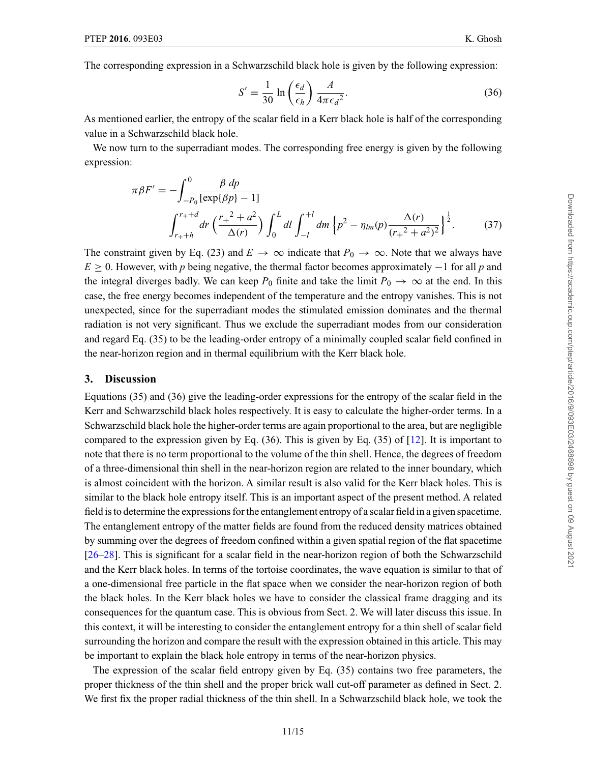The corresponding expression in a Schwarzschild black hole is given by the following expression:

$$
S' = \frac{1}{30} \ln \left( \frac{\epsilon_d}{\epsilon_h} \right) \frac{A}{4\pi \epsilon_d^2}.
$$
 (36)

As mentioned earlier, the entropy of the scalar field in a Kerr black hole is half of the corresponding value in a Schwarzschild black hole.

We now turn to the superradiant modes. The corresponding free energy is given by the following expression:

$$
\pi \beta F' = -\int_{-P_0}^{0} \frac{\beta \, dp}{\left[\exp\{\beta p\} - 1\right]}
$$

$$
\int_{r_+ + h}^{r_+ + d} dr \left(\frac{r_+^2 + a^2}{\Delta(r)}\right) \int_0^L dl \int_{-l}^{+l} dm \left\{p^2 - \eta_{lm}(p) \frac{\Delta(r)}{(r_+^2 + a^2)^2}\right\}^{\frac{1}{2}}.
$$
(37)

The constraint given by Eq. (23) and  $E \to \infty$  indicate that  $P_0 \to \infty$ . Note that we always have *E* ≥ 0. However, with *p* being negative, the thermal factor becomes approximately −1 for all *p* and the integral diverges badly. We can keep  $P_0$  finite and take the limit  $P_0 \to \infty$  at the end. In this case, the free energy becomes independent of the temperature and the entropy vanishes. This is not unexpected, since for the superradiant modes the stimulated emission dominates and the thermal radiation is not very significant. Thus we exclude the superradiant modes from our consideration and regard Eq. (35) to be the leading-order entropy of a minimally coupled scalar field confined in the near-horizon region and in thermal equilibrium with the Kerr black hole.

#### **3. Discussion**

Equations (35) and (36) give the leading-order expressions for the entropy of the scalar field in the Kerr and Schwarzschild black holes respectively. It is easy to calculate the higher-order terms. In a Schwarzschild black hole the higher-order terms are again proportional to the area, but are negligible compared to the expression given by Eq.  $(36)$ . This is given by Eq.  $(35)$  of [12]. It is important to note that there is no term proportional to the volume of the thin shell. Hence, the degrees of freedom of a three-dimensional thin shell in the near-horizon region are related to the inner boundary, which is almost coincident with the horizon. A similar result is also valid for the Kerr black holes. This is similar to the black hole entropy itself. This is an important aspect of the present method. A related field is to determine the expressions for the entanglement entropy of a scalar field in a given spacetime. The entanglement entropy of the matter fields are found from the reduced density matrices obtained by summing over the degrees of freedom confined within a given spatial region of the flat spacetime [26–28]. This is significant for a scalar field in the near-horizon region of both the Schwarzschild and the Kerr black holes. In terms of the tortoise coordinates, the wave equation is similar to that of a one-dimensional free particle in the flat space when we consider the near-horizon region of both the black holes. In the Kerr black holes we have to consider the classical frame dragging and its consequences for the quantum case. This is obvious from Sect. 2. We will later discuss this issue. In this context, it will be interesting to consider the entanglement entropy for a thin shell of scalar field surrounding the horizon and compare the result with the expression obtained in this article. This may be important to explain the black hole entropy in terms of the near-horizon physics.

The expression of the scalar field entropy given by Eq. (35) contains two free parameters, the proper thickness of the thin shell and the proper brick wall cut-off parameter as defined in Sect. 2. We first fix the proper radial thickness of the thin shell. In a Schwarzschild black hole, we took the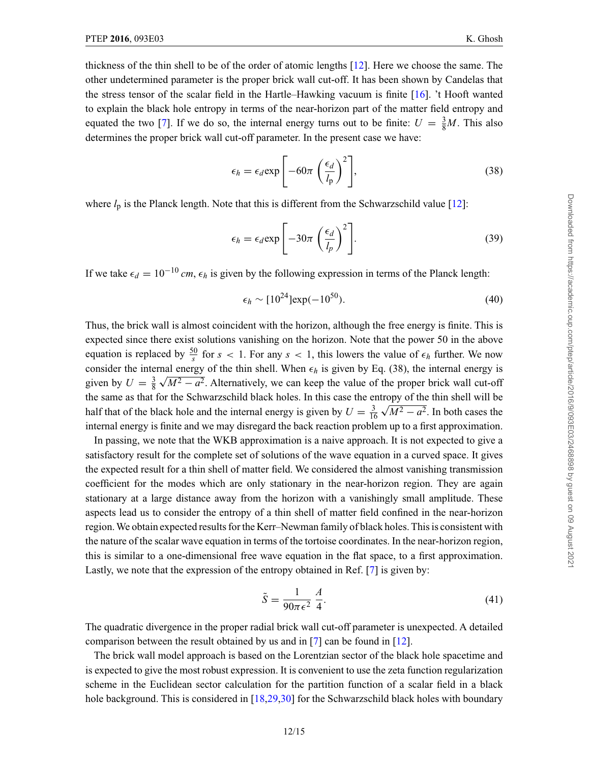thickness of the thin shell to be of the order of atomic lengths [12]. Here we choose the same. The other undetermined parameter is the proper brick wall cut-off. It has been shown by Candelas that the stress tensor of the scalar field in the Hartle–Hawking vacuum is finite [16]. 't Hooft wanted to explain the black hole entropy in terms of the near-horizon part of the matter field entropy and equated the two [7]. If we do so, the internal energy turns out to be finite:  $U = \frac{3}{8}M$ . This also determines the proper brick wall cut-off parameter. In the present case we have:

$$
\epsilon_h = \epsilon_d \exp\left[-60\pi \left(\frac{\epsilon_d}{l_p}\right)^2\right],\tag{38}
$$

where  $l_p$  is the Planck length. Note that this is different from the Schwarzschild value [12]:

$$
\epsilon_h = \epsilon_d \exp\left[-30\pi \left(\frac{\epsilon_d}{l_p}\right)^2\right].
$$
\n(39)

If we take  $\epsilon_d = 10^{-10}$  *cm*,  $\epsilon_h$  is given by the following expression in terms of the Planck length:

$$
\epsilon_h \sim [10^{24}] \exp(-10^{50}).
$$
\n(40)

Thus, the brick wall is almost coincident with the horizon, although the free energy is finite. This is expected since there exist solutions vanishing on the horizon. Note that the power 50 in the above equation is replaced by  $\frac{50}{s}$  for  $s < 1$ . For any  $s < 1$ , this lowers the value of  $\epsilon_h$  further. We now consider the internal energy of the thin shell. When  $\epsilon_h$  is given by Eq. (38), the internal energy is given by  $U = \frac{3}{8}$ 8  $\sqrt{M^2 - a^2}$ . Alternatively, we can keep the value of the proper brick wall cut-off the same as that for the Schwarzschild black holes. In this case the entropy of the thin shell will be half that of the black hole and the internal energy is given by  $U = \frac{3}{16}$ 16  $\sqrt{M^2 - a^2}$ . In both cases the internal energy is finite and we may disregard the back reaction problem up to a first approximation.

In passing, we note that the WKB approximation is a naive approach. It is not expected to give a satisfactory result for the complete set of solutions of the wave equation in a curved space. It gives the expected result for a thin shell of matter field. We considered the almost vanishing transmission coefficient for the modes which are only stationary in the near-horizon region. They are again stationary at a large distance away from the horizon with a vanishingly small amplitude. These aspects lead us to consider the entropy of a thin shell of matter field confined in the near-horizon region. We obtain expected results for the Kerr–Newman family of black holes. This is consistent with the nature of the scalar wave equation in terms of the tortoise coordinates. In the near-horizon region, this is similar to a one-dimensional free wave equation in the flat space, to a first approximation. Lastly, we note that the expression of the entropy obtained in Ref. [7] is given by:

$$
\tilde{S} = \frac{1}{90\pi\epsilon^2} \frac{A}{4}.
$$
\n(41)

The quadratic divergence in the proper radial brick wall cut-off parameter is unexpected. A detailed comparison between the result obtained by us and in [7] can be found in [12].

The brick wall model approach is based on the Lorentzian sector of the black hole spacetime and is expected to give the most robust expression. It is convenient to use the zeta function regularization scheme in the Euclidean sector calculation for the partition function of a scalar field in a black hole background. This is considered in [18,29,30] for the Schwarzschild black holes with boundary

Downloaded from https://academic.oup.com/ptep/article/2016/9/093E03/2468898 by guest on 09 August 202 Downloaded from https://academic.oup.com/ptep/article/2016/9/093E03/2468898 by guest on 09 August 2021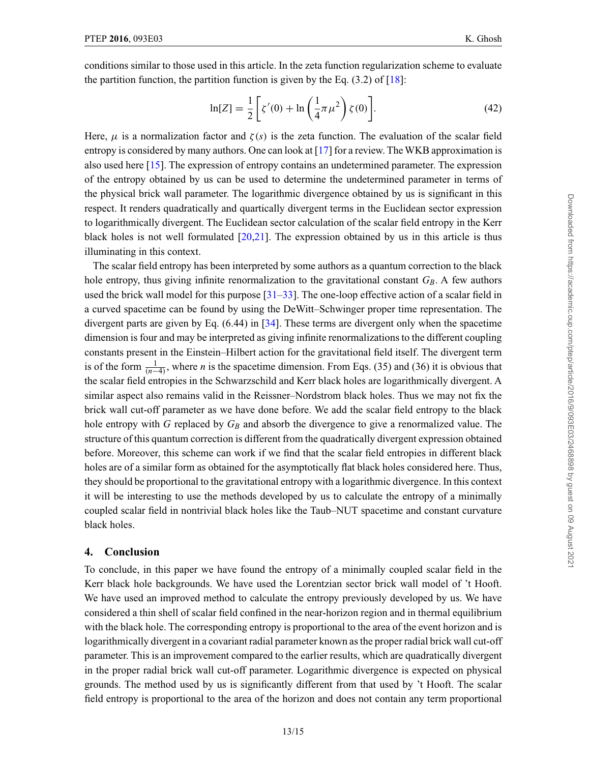conditions similar to those used in this article. In the zeta function regularization scheme to evaluate the partition function, the partition function is given by the Eq.  $(3.2)$  of  $[18]$ :

$$
\ln[Z] = \frac{1}{2} \left[ \zeta'(0) + \ln\left(\frac{1}{4}\pi\mu^2\right) \zeta(0) \right].
$$
 (42)

Here,  $\mu$  is a normalization factor and  $\zeta(s)$  is the zeta function. The evaluation of the scalar field entropy is considered by many authors. One can look at  $[17]$  for a review. The WKB approximation is also used here [15]. The expression of entropy contains an undetermined parameter. The expression of the entropy obtained by us can be used to determine the undetermined parameter in terms of the physical brick wall parameter. The logarithmic divergence obtained by us is significant in this respect. It renders quadratically and quartically divergent terms in the Euclidean sector expression to logarithmically divergent. The Euclidean sector calculation of the scalar field entropy in the Kerr black holes is not well formulated [20,21]. The expression obtained by us in this article is thus illuminating in this context.

The scalar field entropy has been interpreted by some authors as a quantum correction to the black hole entropy, thus giving infinite renormalization to the gravitational constant  $G_B$ . A few authors used the brick wall model for this purpose  $[31–33]$ . The one-loop effective action of a scalar field in a curved spacetime can be found by using the DeWitt–Schwinger proper time representation. The divergent parts are given by Eq. (6.44) in [34]. These terms are divergent only when the spacetime dimension is four and may be interpreted as giving infinite renormalizations to the different coupling constants present in the Einstein–Hilbert action for the gravitational field itself. The divergent term is of the form  $\frac{1}{(n-4)}$ , where *n* is the spacetime dimension. From Eqs. (35) and (36) it is obvious that the scalar field entropies in the Schwarzschild and Kerr black holes are logarithmically divergent. A similar aspect also remains valid in the Reissner–Nordstrom black holes. Thus we may not fix the brick wall cut-off parameter as we have done before. We add the scalar field entropy to the black hole entropy with *G* replaced by *G<sup>B</sup>* and absorb the divergence to give a renormalized value. The structure of this quantum correction is different from the quadratically divergent expression obtained before. Moreover, this scheme can work if we find that the scalar field entropies in different black holes are of a similar form as obtained for the asymptotically flat black holes considered here. Thus, they should be proportional to the gravitational entropy with a logarithmic divergence. In this context it will be interesting to use the methods developed by us to calculate the entropy of a minimally coupled scalar field in nontrivial black holes like the Taub–NUT spacetime and constant curvature black holes.

#### **4. Conclusion**

To conclude, in this paper we have found the entropy of a minimally coupled scalar field in the Kerr black hole backgrounds. We have used the Lorentzian sector brick wall model of 't Hooft. We have used an improved method to calculate the entropy previously developed by us. We have considered a thin shell of scalar field confined in the near-horizon region and in thermal equilibrium with the black hole. The corresponding entropy is proportional to the area of the event horizon and is logarithmically divergent in a covariant radial parameter known as the proper radial brick wall cut-off parameter. This is an improvement compared to the earlier results, which are quadratically divergent in the proper radial brick wall cut-off parameter. Logarithmic divergence is expected on physical grounds. The method used by us is significantly different from that used by 't Hooft. The scalar field entropy is proportional to the area of the horizon and does not contain any term proportional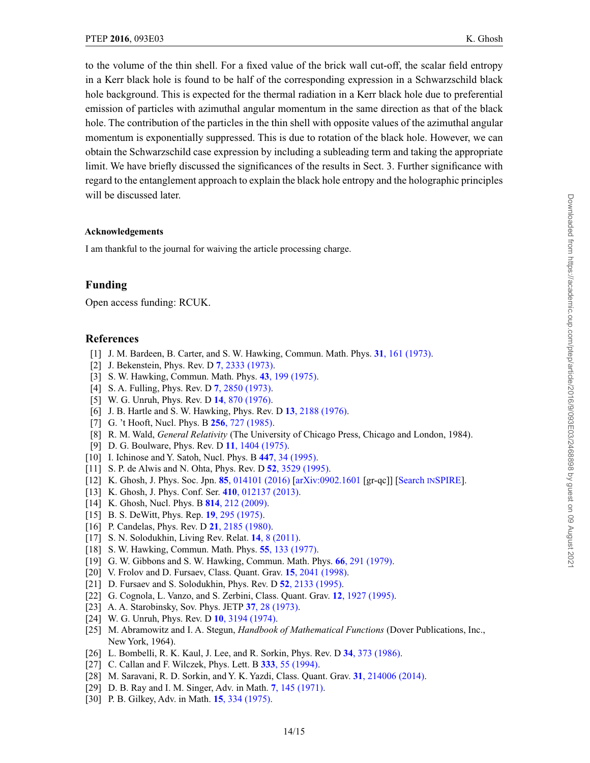to the volume of the thin shell. For a fixed value of the brick wall cut-off, the scalar field entropy in a Kerr black hole is found to be half of the corresponding expression in a Schwarzschild black hole background. This is expected for the thermal radiation in a Kerr black hole due to preferential emission of particles with azimuthal angular momentum in the same direction as that of the black hole. The contribution of the particles in the thin shell with opposite values of the azimuthal angular momentum is exponentially suppressed. This is due to rotation of the black hole. However, we can obtain the Schwarzschild case expression by including a subleading term and taking the appropriate limit. We have briefly discussed the significances of the results in Sect. 3. Further significance with regard to the entanglement approach to explain the black hole entropy and the holographic principles will be discussed later.

#### **Acknowledgements**

I am thankful to the journal for waiving the article processing charge.

## **Funding**

Open access funding: RCUK.

### **References**

- [1] J. M. Bardeen, B. Carter, and S. W. Hawking, Commun. Math. Phys. **31**, 161 (1973).
- [2] J. Bekenstein, Phys. Rev. D **7**, 2333 (1973).
- [3] S. W. Hawking, Commun. Math. Phys. **43**, 199 (1975).
- [4] S. A. Fulling, Phys. Rev. D **7**, 2850 (1973).
- [5] W. G. Unruh, Phys. Rev. D **14**, 870 (1976).
- [6] J. B. Hartle and S. W. Hawking, Phys. Rev. D **13**, 2188 (1976).
- [7] G. 't Hooft, Nucl. Phys. B **256**, 727 (1985).
- [8] R. M. Wald, *General Relativity* (The University of Chicago Press, Chicago and London, 1984).
- [9] D. G. Boulware, Phys. Rev. D **11**, 1404 (1975).
- [10] I. Ichinose and Y. Satoh, Nucl. Phys. B **447**, 34 (1995).
- [11] S. P. de Alwis and N. Ohta, Phys. Rev. D **52**, 3529 (1995).
- [12] K. Ghosh, J. Phys. Soc. Jpn. **85**, 014101 (2016) [arXiv:0902.1601 [gr-qc]] [Search INSPIRE].
- [13] K. Ghosh, J. Phys. Conf. Ser. **410**, 012137 (2013).
- [14] K. Ghosh, Nucl. Phys. B **814**, 212 (2009).
- [15] B. S. DeWitt, Phys. Rep. **19**, 295 (1975).
- [16] P. Candelas, Phys. Rev. D **21**, 2185 (1980).
- [17] S. N. Solodukhin, Living Rev. Relat. **14**, 8 (2011).
- [18] S. W. Hawking, Commun. Math. Phys. **55**, 133 (1977).
- [19] G. W. Gibbons and S. W. Hawking, Commun. Math. Phys. **66**, 291 (1979).
- [20] V. Frolov and D. Fursaev, Class. Quant. Grav. **15**, 2041 (1998).
- [21] D. Fursaev and S. Solodukhin, Phys. Rev. D **52**, 2133 (1995).
- [22] G. Cognola, L. Vanzo, and S. Zerbini, Class. Quant. Grav. **12**, 1927 (1995).
- [23] A. A. Starobinsky, Sov. Phys. JETP **37**, 28 (1973).
- [24] W. G. Unruh, Phys. Rev. D **10**, 3194 (1974).
- [25] M. Abramowitz and I. A. Stegun, *Handbook of Mathematical Functions* (Dover Publications, Inc., New York, 1964).
- [26] L. Bombelli, R. K. Kaul, J. Lee, and R. Sorkin, Phys. Rev. D **34**, 373 (1986).
- [27] C. Callan and F. Wilczek, Phys. Lett. B **333**, 55 (1994).
- [28] M. Saravani, R. D. Sorkin, and Y. K. Yazdi, Class. Quant. Grav. **31**, 214006 (2014).
- [29] D. B. Ray and I. M. Singer, Adv. in Math. **7**, 145 (1971).
- [30] P. B. Gilkey, Adv. in Math. **15**, 334 (1975).

Downloaded from https://academic.oup.com/ptep/article/2016/9/093E03/2468898 by guest on 09 August 202 Downloaded from https://academic.oup.com/ptep/article/2016/9/093E03/2468898 by guest on 09 August 2021